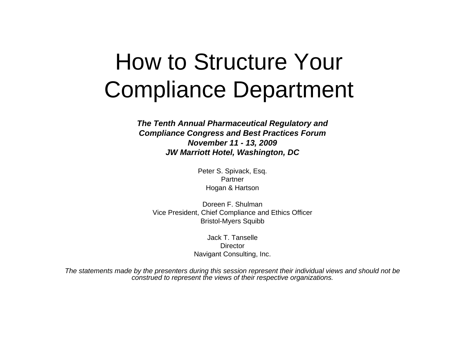# How to Structure Your Compliance Department

*The Tenth Annual Pharmaceutical Regulatory and Compliance Congress and Best Practices Forum November 11 - 13, 2009 JW Marriott Hotel, Washington, DC*

> Peter S. Spivack, Esq. PartnerHogan & Hartson

Doreen F. ShulmanVice President, Chief Compliance and Ethics Officer Bristol-Myers Squibb

> Jack T. Tanselle**Director** Navigant Consulting, Inc.

*The statements made by the presenters during this session represent their individual views and should not be construed to represent the views of their respective organizations.*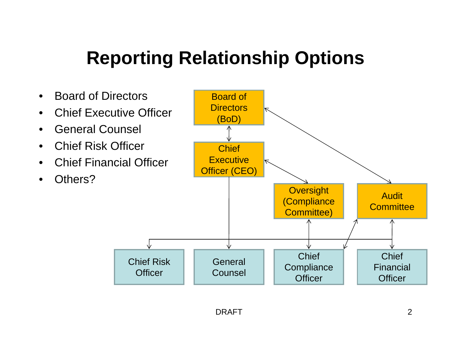#### **Reporting Relationship Options**

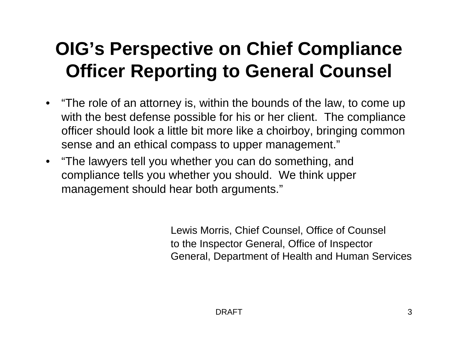#### **OIG's Perspective on Chief Compliance Officer Reporting to General Counsel**

- "The role of an attorney is, within the bounds of the law, to come up with the best defense possible for his or her client. The compliance officer should look a little bit more like a choirboy, bringing common sense and an ethical compass to upper management."
- "The lawyers tell you whether you can do something, and compliance tells you whether you should. We think upper management should hear both arguments."

Lewis Morris, Chief Counsel, Office of Counsel to the Inspector General, Office of Inspector General, Department of Health and Human Services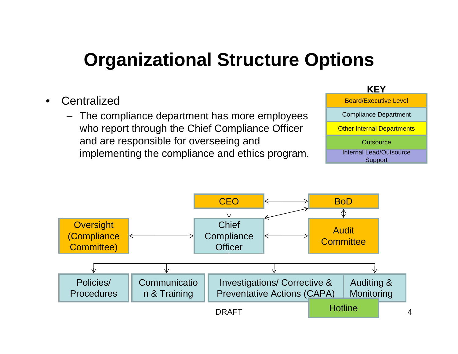## **Organizational Structure Options**

- **Centralized** 
	- The compliance department has more employees who report through the Chief Compliance Officer and are responsible for overseeing and implementing the compliance and ethics program.



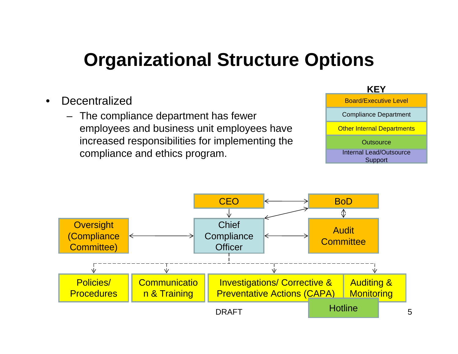## **Organizational Structure Options**

- **Decentralized** 
	- The compliance department has fewer employees and business unit employees have increased responsibilities for implementing the compliance and ethics program.